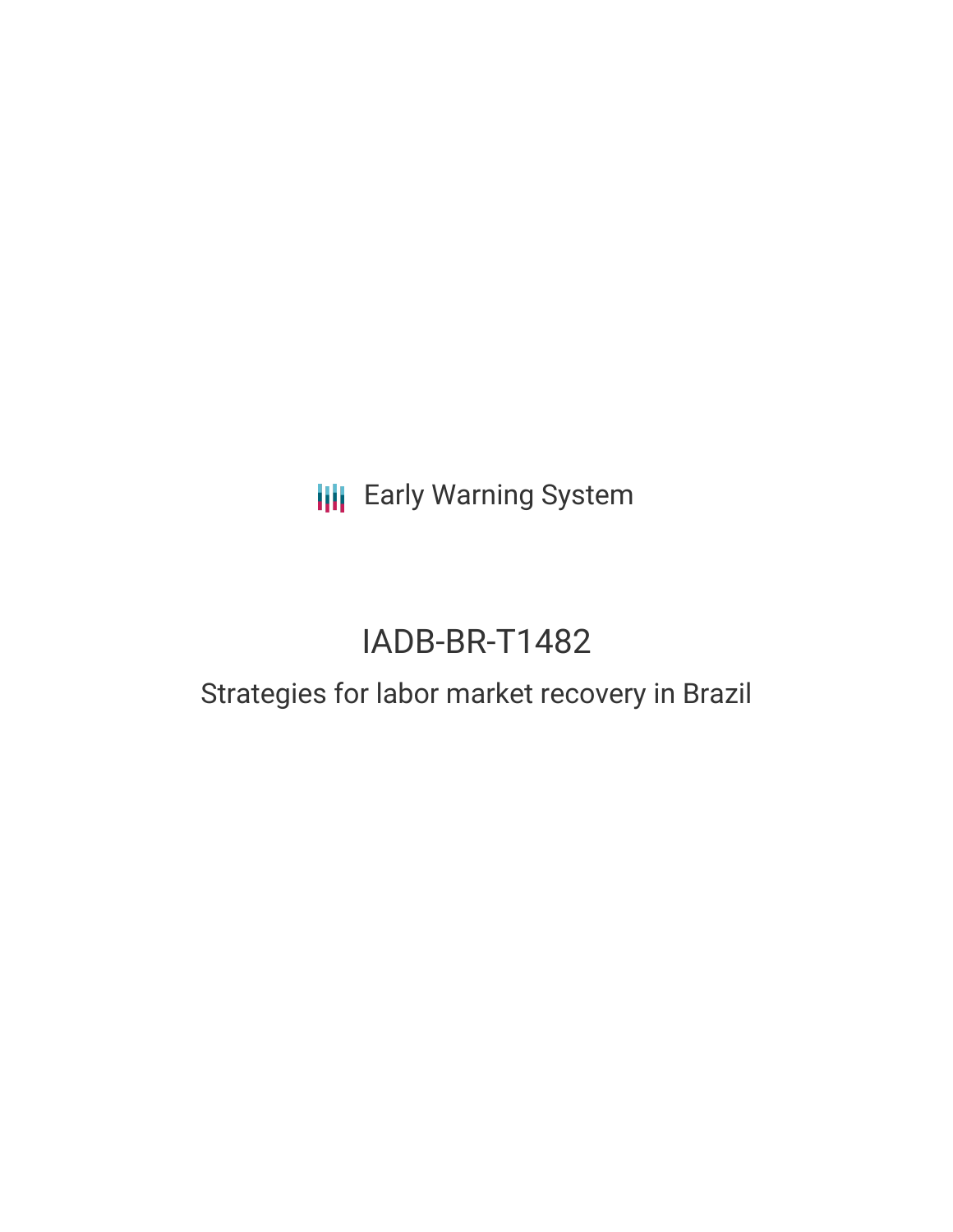**III** Early Warning System

# IADB-BR-T1482

## Strategies for labor market recovery in Brazil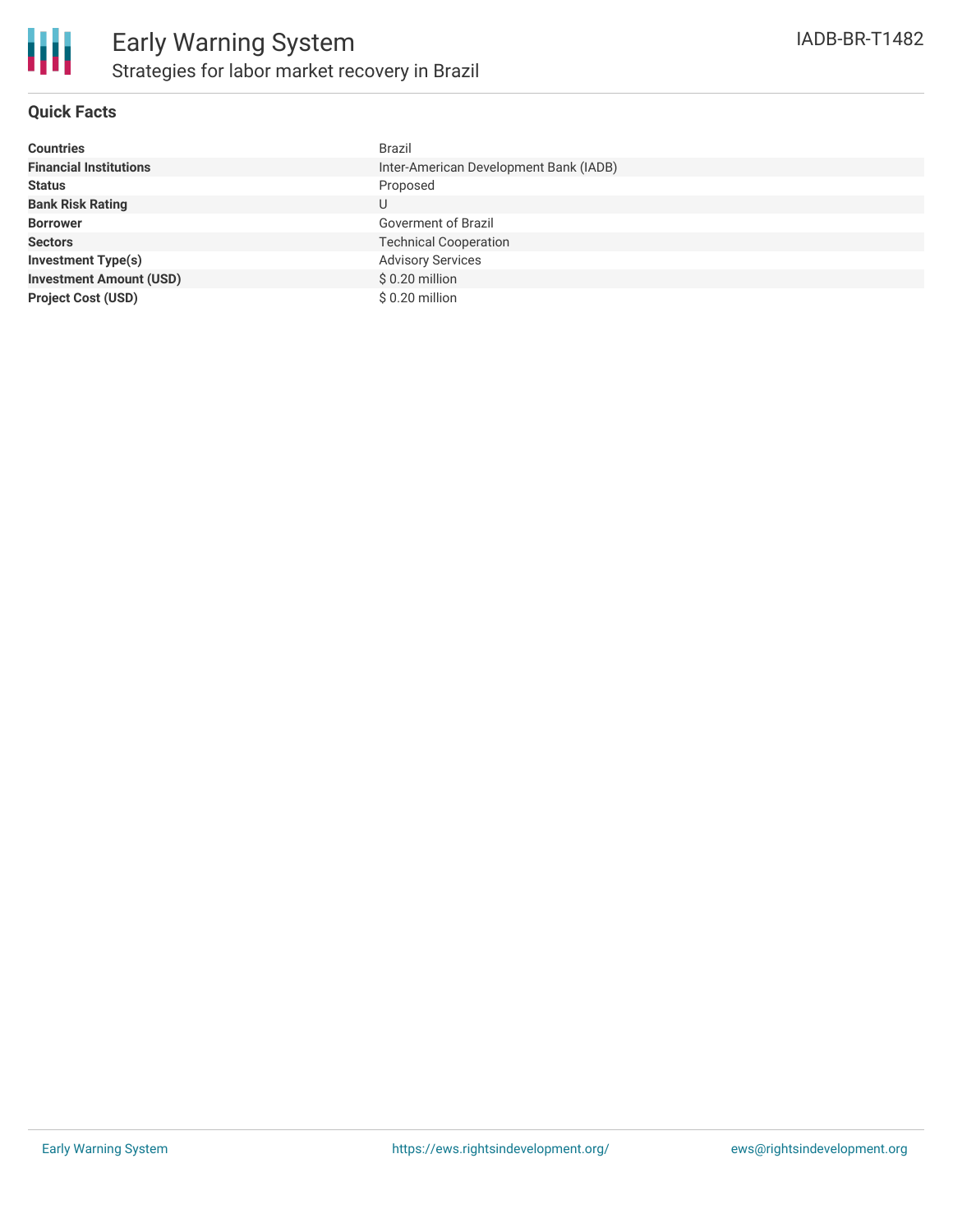

### **Quick Facts**

| <b>Countries</b>               | <b>Brazil</b>                          |
|--------------------------------|----------------------------------------|
| <b>Financial Institutions</b>  | Inter-American Development Bank (IADB) |
| <b>Status</b>                  | Proposed                               |
| <b>Bank Risk Rating</b>        | U                                      |
| <b>Borrower</b>                | Goverment of Brazil                    |
| <b>Sectors</b>                 | <b>Technical Cooperation</b>           |
| <b>Investment Type(s)</b>      | <b>Advisory Services</b>               |
| <b>Investment Amount (USD)</b> | $$0.20$ million                        |
| <b>Project Cost (USD)</b>      | $$0.20$ million                        |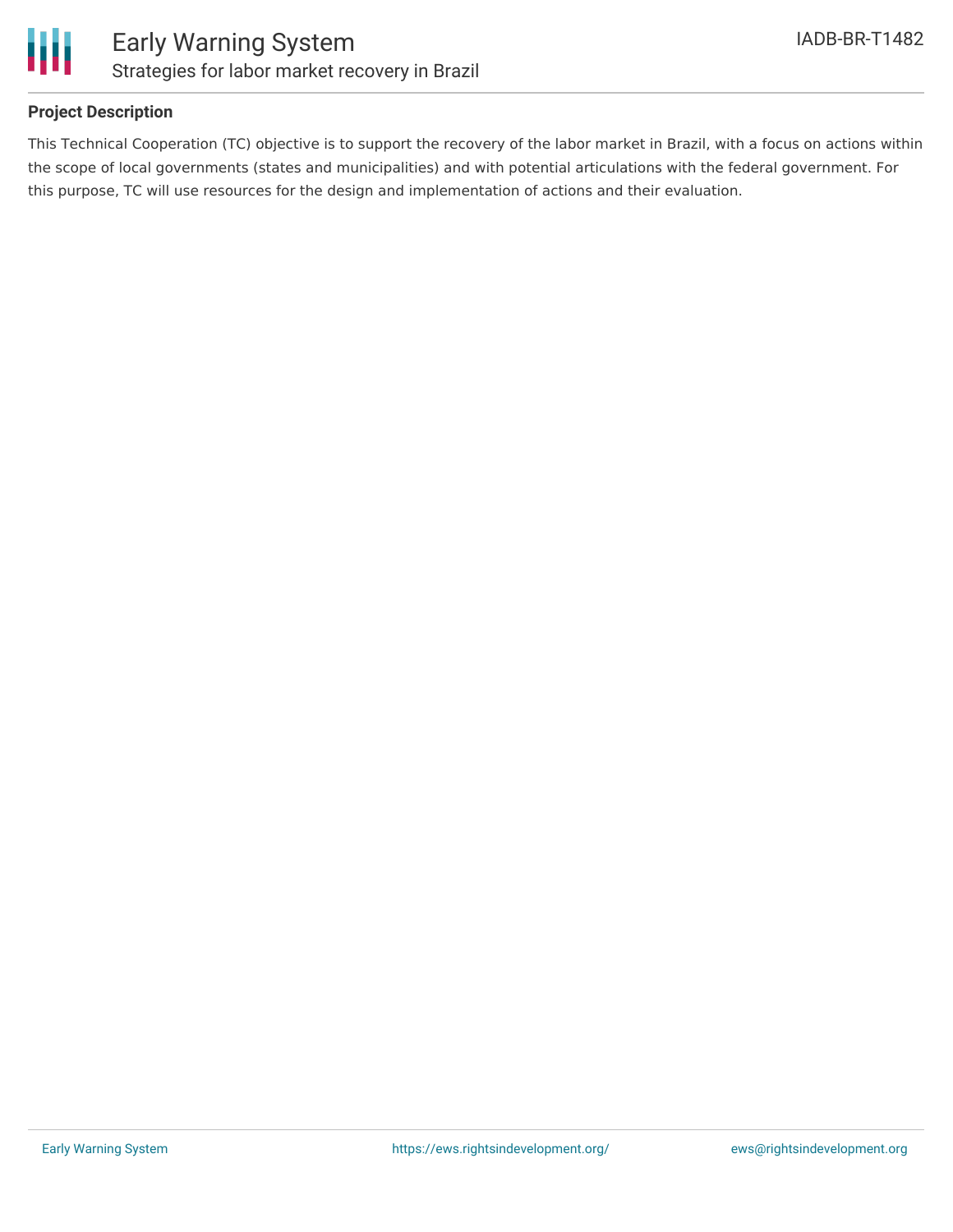

### **Project Description**

This Technical Cooperation (TC) objective is to support the recovery of the labor market in Brazil, with a focus on actions within the scope of local governments (states and municipalities) and with potential articulations with the federal government. For this purpose, TC will use resources for the design and implementation of actions and their evaluation.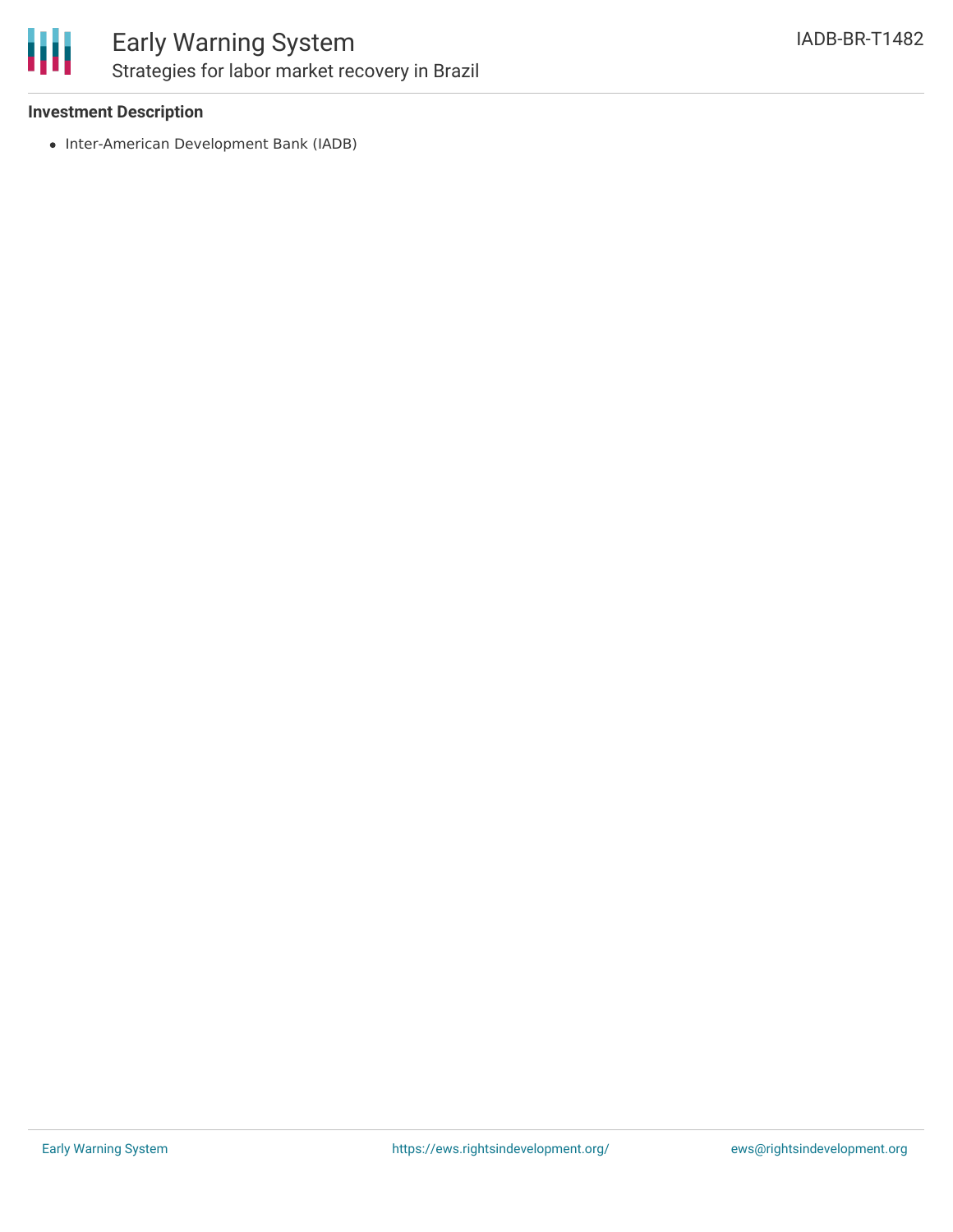

### Early Warning System Strategies for labor market recovery in Brazil

### **Investment Description**

• Inter-American Development Bank (IADB)